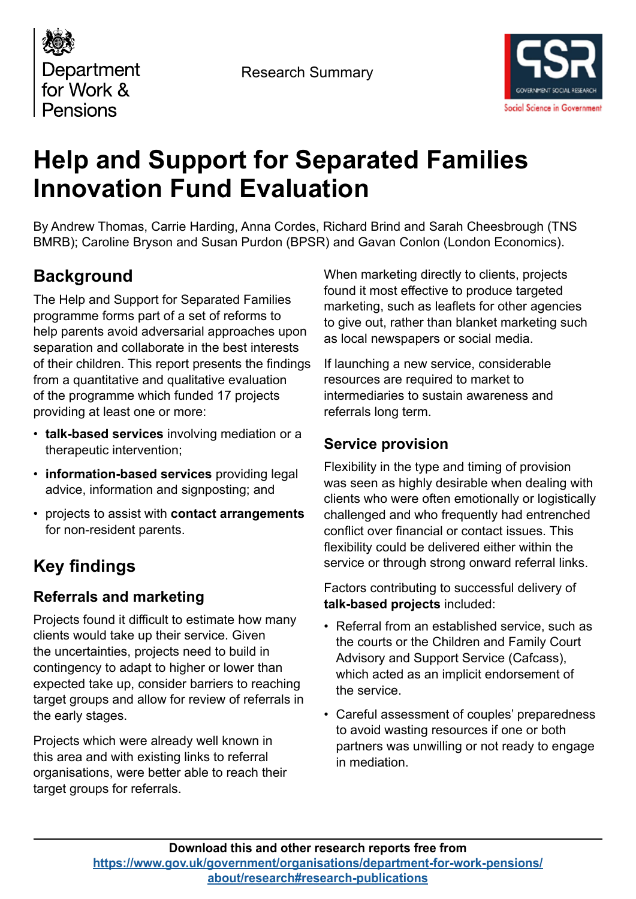



# **Help and Support for Separated Families Innovation Fund Evaluation**

By Andrew Thomas, Carrie Harding, Anna Cordes, Richard Brind and Sarah Cheesbrough (TNS BMRB); Caroline Bryson and Susan Purdon (BPSR) and Gavan Conlon (London Economics).

## **Background**

The Help and Support for Separated Families programme forms part of a set of reforms to help parents avoid adversarial approaches upon separation and collaborate in the best interests of their children. This report presents the findings from a quantitative and qualitative evaluation of the programme which funded 17 projects providing at least one or more:

- **talk-based services** involving mediation or a therapeutic intervention;
- **information-based services** providing legal advice, information and signposting; and
- projects to assist with **contact arrangements** for non-resident parents.

# **Key findings**

## **Referrals and marketing**

Projects found it difficult to estimate how many clients would take up their service. Given the uncertainties, projects need to build in contingency to adapt to higher or lower than expected take up, consider barriers to reaching target groups and allow for review of referrals in the early stages.

Projects which were already well known in this area and with existing links to referral organisations, were better able to reach their target groups for referrals.

When marketing directly to clients, projects found it most effective to produce targeted marketing, such as leaflets for other agencies to give out, rather than blanket marketing such as local newspapers or social media.

If launching a new service, considerable resources are required to market to intermediaries to sustain awareness and referrals long term.

### **Service provision**

Flexibility in the type and timing of provision was seen as highly desirable when dealing with clients who were often emotionally or logistically challenged and who frequently had entrenched conflict over financial or contact issues. This flexibility could be delivered either within the service or through strong onward referral links.

Factors contributing to successful delivery of **talk-based projects** included:

- Referral from an established service, such as the courts or the Children and Family Court Advisory and Support Service (Cafcass), which acted as an implicit endorsement of the service.
- Careful assessment of couples' preparedness to avoid wasting resources if one or both partners was unwilling or not ready to engage in mediation.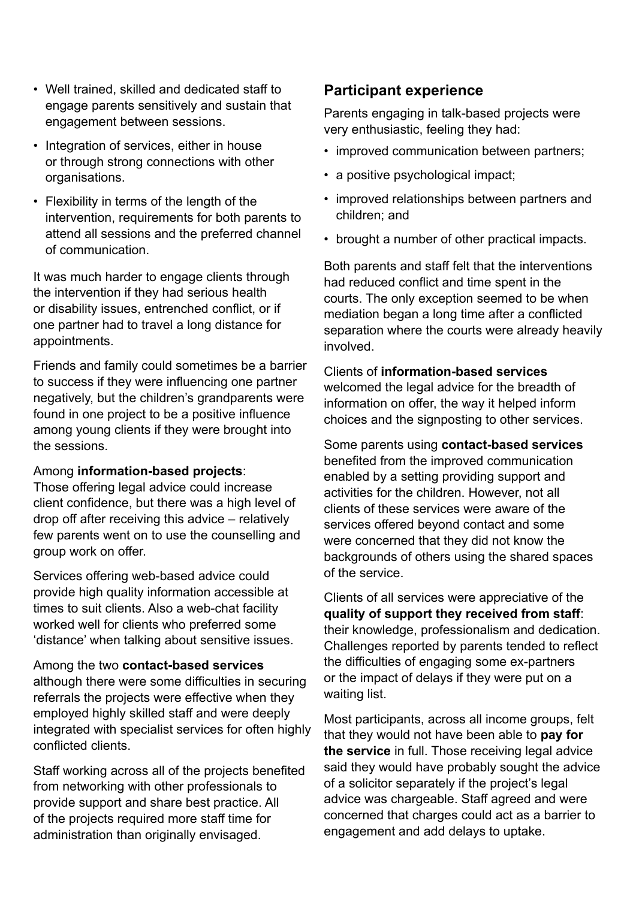- Well trained, skilled and dedicated staff to engage parents sensitively and sustain that engagement between sessions.
- Integration of services, either in house or through strong connections with other organisations.
- Flexibility in terms of the length of the intervention, requirements for both parents to attend all sessions and the preferred channel of communication.

It was much harder to engage clients through the intervention if they had serious health or disability issues, entrenched conflict, or if one partner had to travel a long distance for appointments.

Friends and family could sometimes be a barrier to success if they were influencing one partner negatively, but the children's grandparents were found in one project to be a positive influence among young clients if they were brought into the sessions.

#### Among **information-based projects**:

Those offering legal advice could increase client confidence, but there was a high level of drop off after receiving this advice – relatively few parents went on to use the counselling and group work on offer.

Services offering web-based advice could provide high quality information accessible at times to suit clients. Also a web-chat facility worked well for clients who preferred some 'distance' when talking about sensitive issues.

Among the two **contact-based services** although there were some difficulties in securing referrals the projects were effective when they employed highly skilled staff and were deeply integrated with specialist services for often highly conflicted clients.

Staff working across all of the projects benefited from networking with other professionals to provide support and share best practice. All of the projects required more staff time for administration than originally envisaged.

#### **Participant experience**

Parents engaging in talk-based projects were very enthusiastic, feeling they had:

- improved communication between partners;
- a positive psychological impact;
- improved relationships between partners and children; and
- brought a number of other practical impacts.

Both parents and staff felt that the interventions had reduced conflict and time spent in the courts. The only exception seemed to be when mediation began a long time after a conflicted separation where the courts were already heavily involved.

#### Clients of **information-based services**

welcomed the legal advice for the breadth of information on offer, the way it helped inform choices and the signposting to other services.

Some parents using **contact-based services** benefited from the improved communication enabled by a setting providing support and activities for the children. However, not all clients of these services were aware of the services offered beyond contact and some were concerned that they did not know the backgrounds of others using the shared spaces of the service.

Clients of all services were appreciative of the **quality of support they received from staff**: their knowledge, professionalism and dedication. Challenges reported by parents tended to reflect the difficulties of engaging some ex-partners or the impact of delays if they were put on a waiting list.

Most participants, across all income groups, felt that they would not have been able to **pay for the service** in full. Those receiving legal advice said they would have probably sought the advice of a solicitor separately if the project's legal advice was chargeable. Staff agreed and were concerned that charges could act as a barrier to engagement and add delays to uptake.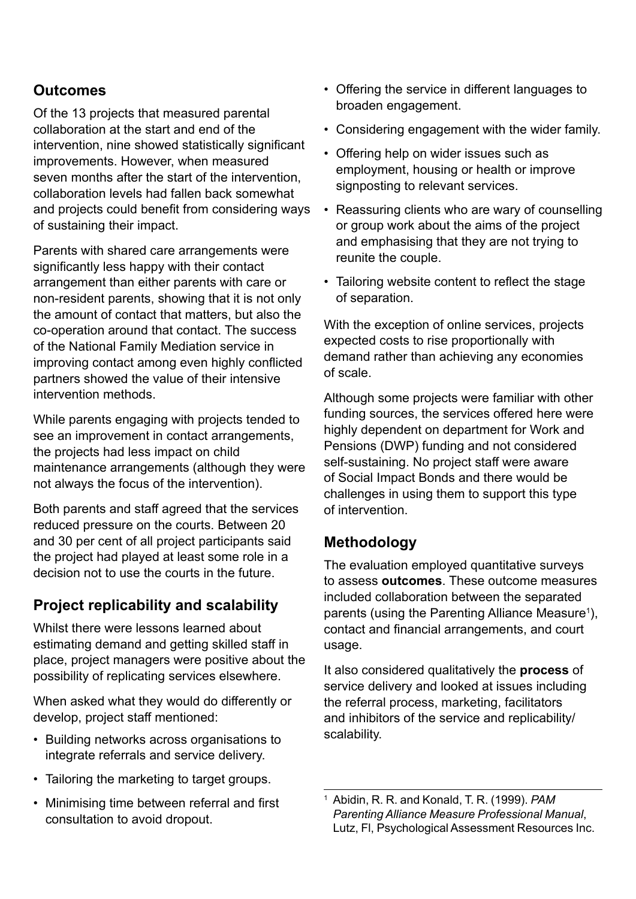#### **Outcomes**

Of the 13 projects that measured parental collaboration at the start and end of the intervention, nine showed statistically significant improvements. However, when measured seven months after the start of the intervention, collaboration levels had fallen back somewhat and projects could benefit from considering ways of sustaining their impact.

Parents with shared care arrangements were significantly less happy with their contact arrangement than either parents with care or non-resident parents, showing that it is not only the amount of contact that matters, but also the co-operation around that contact. The success of the National Family Mediation service in improving contact among even highly conflicted partners showed the value of their intensive intervention methods.

While parents engaging with projects tended to see an improvement in contact arrangements, the projects had less impact on child maintenance arrangements (although they were not always the focus of the intervention).

Both parents and staff agreed that the services reduced pressure on the courts. Between 20 and 30 per cent of all project participants said the project had played at least some role in a decision not to use the courts in the future.

#### **Project replicability and scalability**

Whilst there were lessons learned about estimating demand and getting skilled staff in place, project managers were positive about the possibility of replicating services elsewhere.

When asked what they would do differently or develop, project staff mentioned:

- Building networks across organisations to integrate referrals and service delivery.
- Tailoring the marketing to target groups.
- Minimising time between referral and first consultation to avoid dropout.
- Offering the service in different languages to broaden engagement.
- Considering engagement with the wider family.
- Offering help on wider issues such as employment, housing or health or improve signposting to relevant services.
- Reassuring clients who are wary of counselling or group work about the aims of the project and emphasising that they are not trying to reunite the couple.
- Tailoring website content to reflect the stage of separation.

With the exception of online services, projects expected costs to rise proportionally with demand rather than achieving any economies of scale.

Although some projects were familiar with other funding sources, the services offered here were highly dependent on department for Work and Pensions (DWP) funding and not considered self-sustaining. No project staff were aware of Social Impact Bonds and there would be challenges in using them to support this type of intervention.

#### **Methodology**

The evaluation employed quantitative surveys to assess **outcomes**. These outcome measures included collaboration between the separated parents (using the Parenting Alliance Measure<sup>1</sup>), contact and financial arrangements, and court usage.

It also considered qualitatively the **process** of service delivery and looked at issues including the referral process, marketing, facilitators and inhibitors of the service and replicability/ scalability.

<sup>1</sup> Abidin, R. R. and Konald, T. R. (1999). *PAM Parenting Alliance Measure Professional Manual*, Lutz, Fl, Psychological Assessment Resources Inc.